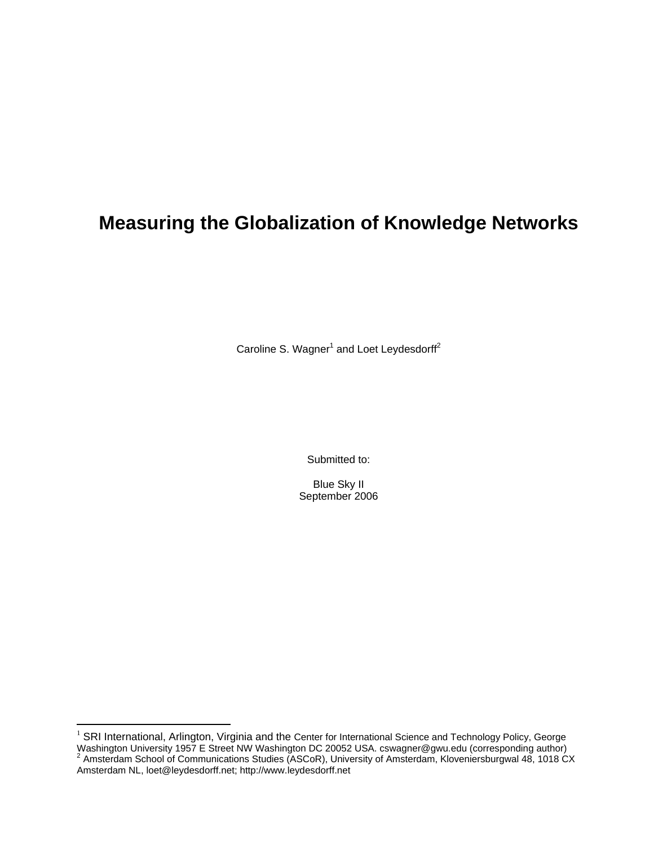# **Measuring the Globalization of Knowledge Networks**

Caroline S. Wagner<sup>1</sup> and Loet Leydesdorff<sup>2</sup>

Submitted to:

Blue Sky II September 2006

 $1$  SRI International, Arlington, Virginia and the Center for International Science and Technology Policy, George Washington University 1957 E Street NW Washington DC 20052 USA. cswagner@gwu.edu (corresponding author)<br><sup>2</sup> Amsterdam School of Communications Studies (ASCoR), University of Amsterdam, Kloveniersburgwal 48, 1018 CX Amsterdam NL, loet@leydesdorff.net; http://www.leydesdorff.net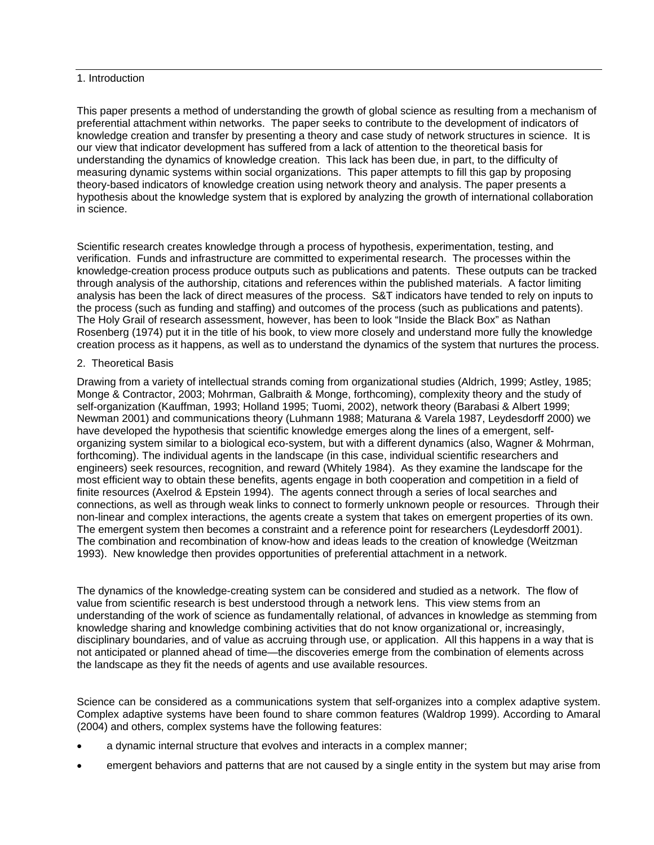#### 1. Introduction

This paper presents a method of understanding the growth of global science as resulting from a mechanism of preferential attachment within networks. The paper seeks to contribute to the development of indicators of knowledge creation and transfer by presenting a theory and case study of network structures in science. It is our view that indicator development has suffered from a lack of attention to the theoretical basis for understanding the dynamics of knowledge creation. This lack has been due, in part, to the difficulty of measuring dynamic systems within social organizations. This paper attempts to fill this gap by proposing theory-based indicators of knowledge creation using network theory and analysis. The paper presents a hypothesis about the knowledge system that is explored by analyzing the growth of international collaboration in science.

Scientific research creates knowledge through a process of hypothesis, experimentation, testing, and verification. Funds and infrastructure are committed to experimental research. The processes within the knowledge-creation process produce outputs such as publications and patents. These outputs can be tracked through analysis of the authorship, citations and references within the published materials. A factor limiting analysis has been the lack of direct measures of the process. S&T indicators have tended to rely on inputs to the process (such as funding and staffing) and outcomes of the process (such as publications and patents). The Holy Grail of research assessment, however, has been to look "Inside the Black Box" as Nathan Rosenberg (1974) put it in the title of his book, to view more closely and understand more fully the knowledge creation process as it happens, as well as to understand the dynamics of the system that nurtures the process.

## 2. Theoretical Basis

Drawing from a variety of intellectual strands coming from organizational studies (Aldrich, 1999; Astley, 1985; Monge & Contractor, 2003; Mohrman, Galbraith & Monge, forthcoming), complexity theory and the study of self-organization (Kauffman, 1993; Holland 1995; Tuomi, 2002), network theory (Barabasi & Albert 1999; Newman 2001) and communications theory (Luhmann 1988; Maturana & Varela 1987, Leydesdorff 2000) we have developed the hypothesis that scientific knowledge emerges along the lines of a emergent, selforganizing system similar to a biological eco-system, but with a different dynamics (also, Wagner & Mohrman, forthcoming). The individual agents in the landscape (in this case, individual scientific researchers and engineers) seek resources, recognition, and reward (Whitely 1984). As they examine the landscape for the most efficient way to obtain these benefits, agents engage in both cooperation and competition in a field of finite resources (Axelrod & Epstein 1994). The agents connect through a series of local searches and connections, as well as through weak links to connect to formerly unknown people or resources. Through their non-linear and complex interactions, the agents create a system that takes on emergent properties of its own. The emergent system then becomes a constraint and a reference point for researchers (Leydesdorff 2001). The combination and recombination of know-how and ideas leads to the creation of knowledge (Weitzman 1993). New knowledge then provides opportunities of preferential attachment in a network.

The dynamics of the knowledge-creating system can be considered and studied as a network. The flow of value from scientific research is best understood through a network lens. This view stems from an understanding of the work of science as fundamentally relational, of advances in knowledge as stemming from knowledge sharing and knowledge combining activities that do not know organizational or, increasingly, disciplinary boundaries, and of value as accruing through use, or application. All this happens in a way that is not anticipated or planned ahead of time—the discoveries emerge from the combination of elements across the landscape as they fit the needs of agents and use available resources.

Science can be considered as a communications system that self-organizes into a complex adaptive system. Complex adaptive systems have been found to share common features (Waldrop 1999). According to Amaral (2004) and others, complex systems have the following features:

- a dynamic internal structure that evolves and interacts in a complex manner;
- emergent behaviors and patterns that are not caused by a single entity in the system but may arise from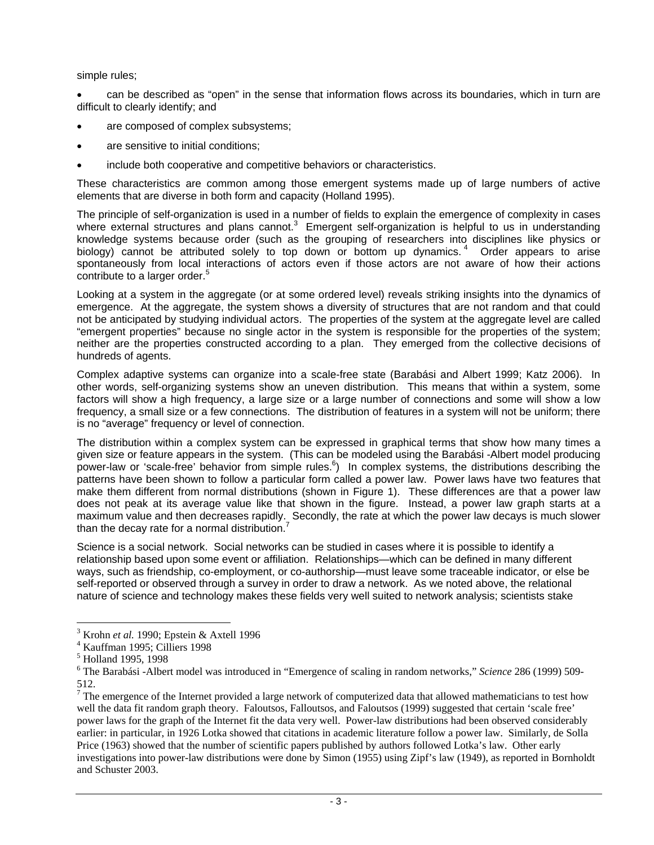simple rules;

• can be described as "open" in the sense that information flows across its boundaries, which in turn are difficult to clearly identify; and

- are composed of complex subsystems;
- are sensitive to initial conditions;
- include both cooperative and competitive behaviors or characteristics.

These characteristics are common among those emergent systems made up of large numbers of active elements that are diverse in both form and capacity (Holland 1995).

The principle of self-organization is used in a number of fields to explain the emergence of complexity in cases where external structures and plans cannot.<sup>3</sup> Emergent self-organization is helpful to us in understanding knowledge systems because order (such as the grouping of researchers into disciplines like physics or biology) cannot be attributed solely to top down or bottom up dynamics.<sup>4</sup> Order appears to arise spontaneously from local interactions of actors even if those actors are not aware of how their actions contribute to a larger order.<sup>5</sup>

Looking at a system in the aggregate (or at some ordered level) reveals striking insights into the dynamics of emergence. At the aggregate, the system shows a diversity of structures that are not random and that could not be anticipated by studying individual actors. The properties of the system at the aggregate level are called "emergent properties" because no single actor in the system is responsible for the properties of the system; neither are the properties constructed according to a plan. They emerged from the collective decisions of hundreds of agents.

Complex adaptive systems can organize into a scale-free state (Barabási and Albert 1999; Katz 2006). In other words, self-organizing systems show an uneven distribution. This means that within a system, some factors will show a high frequency, a large size or a large number of connections and some will show a low frequency, a small size or a few connections. The distribution of features in a system will not be uniform; there is no "average" frequency or level of connection.

The distribution within a complex system can be expressed in graphical terms that show how many times a given size or feature appears in the system. (This can be modeled using the Barabási -Albert model producing power-law or 'scale-free' behavior from simple rules.<sup>6</sup>) In complex systems, the distributions describing the patterns have been shown to follow a particular form called a power law. Power laws have two features that make them different from normal distributions (shown in Figure 1). These differences are that a power law does not peak at its average value like that shown in the figure. Instead, a power law graph starts at a maximum value and then decreases rapidly. Secondly, the rate at which the power law decays is much slower than the decay rate for a normal distribution.

Science is a social network. Social networks can be studied in cases where it is possible to identify a relationship based upon some event or affiliation. Relationships—which can be defined in many different ways, such as friendship, co-employment, or co-authorship—must leave some traceable indicator, or else be self-reported or observed through a survey in order to draw a network. As we noted above, the relational nature of science and technology makes these fields very well suited to network analysis; scientists stake

 $^3$  Krohn *et al.* 1990; Epstein & Axtell 1996

Kauffman 1995; Cilliers 1998

<sup>5</sup> Holland 1995, 1998

<sup>6</sup> The Barabási -Albert model was introduced in "Emergence of scaling in random networks," *Science* 286 (1999) 509- 512.

 $7$  The emergence of the Internet provided a large network of computerized data that allowed mathematicians to test how well the data fit random graph theory. Faloutsos, Falloutsos, and Faloutsos (1999) suggested that certain 'scale free' power laws for the graph of the Internet fit the data very well. Power-law distributions had been observed considerably earlier: in particular, in 1926 Lotka showed that citations in academic literature follow a power law. Similarly, de Solla Price (1963) showed that the number of scientific papers published by authors followed Lotka's law. Other early investigations into power-law distributions were done by Simon (1955) using Zipf's law (1949), as reported in Bornholdt and Schuster 2003.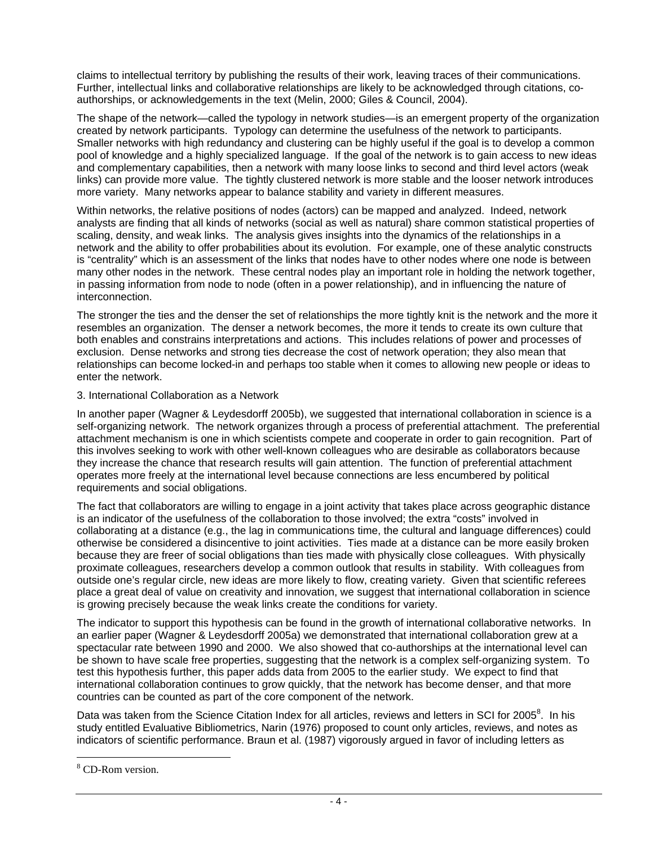claims to intellectual territory by publishing the results of their work, leaving traces of their communications. Further, intellectual links and collaborative relationships are likely to be acknowledged through citations, coauthorships, or acknowledgements in the text (Melin, 2000; Giles & Council, 2004).

The shape of the network—called the typology in network studies—is an emergent property of the organization created by network participants. Typology can determine the usefulness of the network to participants. Smaller networks with high redundancy and clustering can be highly useful if the goal is to develop a common pool of knowledge and a highly specialized language. If the goal of the network is to gain access to new ideas and complementary capabilities, then a network with many loose links to second and third level actors (weak links) can provide more value. The tightly clustered network is more stable and the looser network introduces more variety. Many networks appear to balance stability and variety in different measures.

Within networks, the relative positions of nodes (actors) can be mapped and analyzed. Indeed, network analysts are finding that all kinds of networks (social as well as natural) share common statistical properties of scaling, density, and weak links. The analysis gives insights into the dynamics of the relationships in a network and the ability to offer probabilities about its evolution. For example, one of these analytic constructs is "centrality" which is an assessment of the links that nodes have to other nodes where one node is between many other nodes in the network. These central nodes play an important role in holding the network together, in passing information from node to node (often in a power relationship), and in influencing the nature of interconnection.

The stronger the ties and the denser the set of relationships the more tightly knit is the network and the more it resembles an organization. The denser a network becomes, the more it tends to create its own culture that both enables and constrains interpretations and actions. This includes relations of power and processes of exclusion. Dense networks and strong ties decrease the cost of network operation; they also mean that relationships can become locked-in and perhaps too stable when it comes to allowing new people or ideas to enter the network.

## 3. International Collaboration as a Network

In another paper (Wagner & Leydesdorff 2005b), we suggested that international collaboration in science is a self-organizing network. The network organizes through a process of preferential attachment. The preferential attachment mechanism is one in which scientists compete and cooperate in order to gain recognition. Part of this involves seeking to work with other well-known colleagues who are desirable as collaborators because they increase the chance that research results will gain attention. The function of preferential attachment operates more freely at the international level because connections are less encumbered by political requirements and social obligations.

The fact that collaborators are willing to engage in a joint activity that takes place across geographic distance is an indicator of the usefulness of the collaboration to those involved; the extra "costs" involved in collaborating at a distance (e.g., the lag in communications time, the cultural and language differences) could otherwise be considered a disincentive to joint activities. Ties made at a distance can be more easily broken because they are freer of social obligations than ties made with physically close colleagues. With physically proximate colleagues, researchers develop a common outlook that results in stability. With colleagues from outside one's regular circle, new ideas are more likely to flow, creating variety. Given that scientific referees place a great deal of value on creativity and innovation, we suggest that international collaboration in science is growing precisely because the weak links create the conditions for variety.

The indicator to support this hypothesis can be found in the growth of international collaborative networks. In an earlier paper (Wagner & Leydesdorff 2005a) we demonstrated that international collaboration grew at a spectacular rate between 1990 and 2000. We also showed that co-authorships at the international level can be shown to have scale free properties, suggesting that the network is a complex self-organizing system. To test this hypothesis further, this paper adds data from 2005 to the earlier study. We expect to find that international collaboration continues to grow quickly, that the network has become denser, and that more countries can be counted as part of the core component of the network.

Data was taken from the Science Citation Index for all articles, reviews and letters in SCI for 2005<sup>8</sup>. In his study entitled Evaluative Bibliometrics, Narin (1976) proposed to count only articles, reviews, and notes as indicators of scientific performance. Braun et al. (1987) vigorously argued in favor of including letters as

<sup>8</sup> CD-Rom version.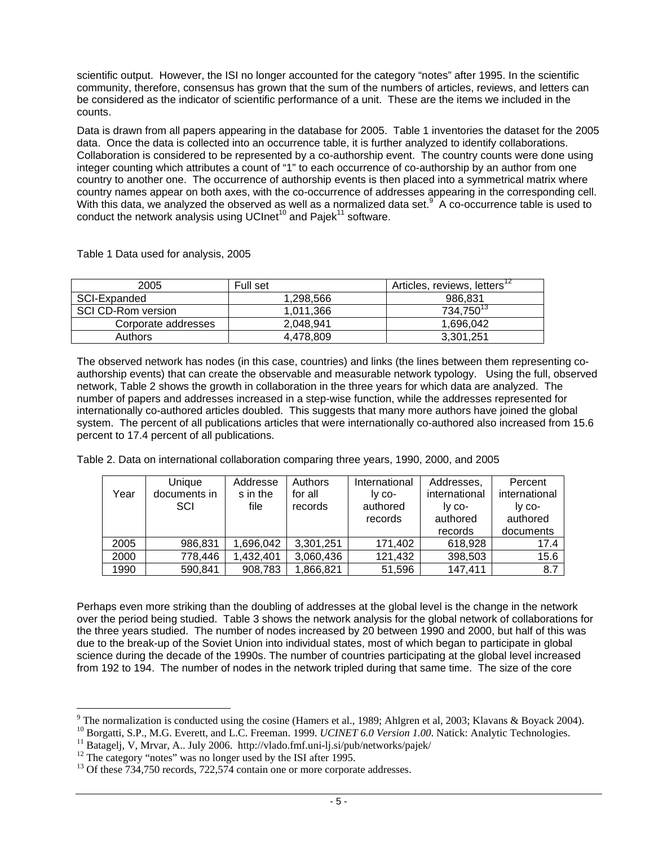scientific output. However, the ISI no longer accounted for the category "notes" after 1995. In the scientific community, therefore, consensus has grown that the sum of the numbers of articles, reviews, and letters can be considered as the indicator of scientific performance of a unit. These are the items we included in the counts.

Data is drawn from all papers appearing in the database for 2005. Table 1 inventories the dataset for the 2005 data. Once the data is collected into an occurrence table, it is further analyzed to identify collaborations. Collaboration is considered to be represented by a co-authorship event. The country counts were done using integer counting which attributes a count of "1" to each occurrence of co-authorship by an author from one country to another one. The occurrence of authorship events is then placed into a symmetrical matrix where country names appear on both axes, with the co-occurrence of addresses appearing in the corresponding cell. With this data, we analyzed the observed as well as a normalized data set.<sup>9</sup> A co-occurrence table is used to conduct the network analysis using UCInet<sup>10</sup> and Pajek<sup>11</sup> software.

| 2005                | Full set  | Articles, reviews, letters' <sup>2</sup> |
|---------------------|-----------|------------------------------------------|
| SCI-Expanded        | 1.298.566 | 986.831                                  |
| SCI CD-Rom version  | 1.011.366 | 734,750 <sup>13</sup>                    |
| Corporate addresses | 2.048.941 | 1.696.042                                |
| Authors             | 4.478.809 | 3.301.251                                |

Table 1 Data used for analysis, 2005

The observed network has nodes (in this case, countries) and links (the lines between them representing coauthorship events) that can create the observable and measurable network typology. Using the full, observed network, Table 2 shows the growth in collaboration in the three years for which data are analyzed. The number of papers and addresses increased in a step-wise function, while the addresses represented for internationally co-authored articles doubled. This suggests that many more authors have joined the global system. The percent of all publications articles that were internationally co-authored also increased from 15.6 percent to 17.4 percent of all publications.

Table 2. Data on international collaboration comparing three years, 1990, 2000, and 2005

| Year | Unique<br>documents in<br>SCI | Addresse<br>s in the<br>file | Authors<br>for all<br>records | International<br>Iv co-<br>authored<br>records | Addresses,<br>international<br>Iy co-<br>authored<br>records | Percent<br>international<br>Iy co-<br>authored<br>documents |
|------|-------------------------------|------------------------------|-------------------------------|------------------------------------------------|--------------------------------------------------------------|-------------------------------------------------------------|
| 2005 | 986,831                       | 1,696,042                    | 3,301,251                     | 171,402                                        | 618,928                                                      | 17.4                                                        |
| 2000 | 778,446                       | 1,432,401                    | 3,060,436                     | 121,432                                        | 398,503                                                      | 15.6                                                        |
| 1990 | 590,841                       | 908,783                      | 1,866,821                     | 51,596                                         | 147,411                                                      | 8.7                                                         |

Perhaps even more striking than the doubling of addresses at the global level is the change in the network over the period being studied. Table 3 shows the network analysis for the global network of collaborations for the three years studied. The number of nodes increased by 20 between 1990 and 2000, but half of this was due to the break-up of the Soviet Union into individual states, most of which began to participate in global science during the decade of the 1990s. The number of countries participating at the global level increased from 192 to 194. The number of nodes in the network tripled during that same time. The size of the core

<sup>&</sup>lt;sup>9</sup> The normalization is conducted using the cosine (Hamers et al., 1989; Ahlgren et al, 2003; Klavans & Boyack 2004).

<sup>&</sup>lt;sup>10</sup> Borgatti, S.P., M.G. Everett, and L.C. Freeman. 1999. *UCINET 6.0 Version 1.00*. Natick: Analytic Technologies.<br><sup>11</sup> Batagelj, V, Mrvar, A.. July 2006. http://vlado.fmf.uni-lj.si/pub/networks/pajek/<br><sup>12</sup> The category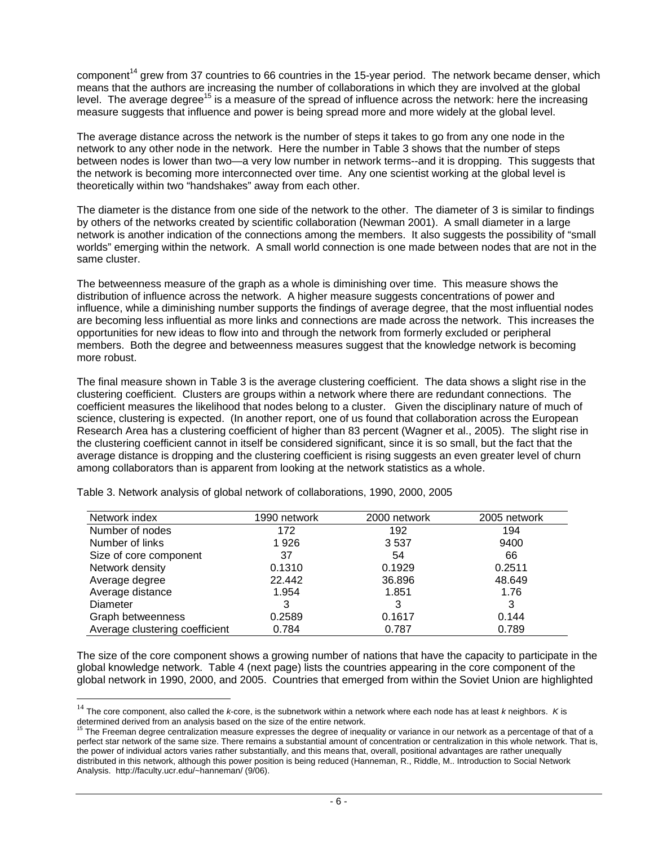component<sup>14</sup> grew from 37 countries to 66 countries in the 15-year period. The network became denser, which means that the authors are increasing the number of collaborations in which they are involved at the global level. The average degree<sup>15</sup> is a measure of the spread of influence across the network: here the increasing measure suggests that influence and power is being spread more and more widely at the global level.

The average distance across the network is the number of steps it takes to go from any one node in the network to any other node in the network. Here the number in Table 3 shows that the number of steps between nodes is lower than two—a very low number in network terms--and it is dropping. This suggests that the network is becoming more interconnected over time. Any one scientist working at the global level is theoretically within two "handshakes" away from each other.

The diameter is the distance from one side of the network to the other. The diameter of 3 is similar to findings by others of the networks created by scientific collaboration (Newman 2001). A small diameter in a large network is another indication of the connections among the members. It also suggests the possibility of "small worlds" emerging within the network. A small world connection is one made between nodes that are not in the same cluster.

The betweenness measure of the graph as a whole is diminishing over time. This measure shows the distribution of influence across the network. A higher measure suggests concentrations of power and influence, while a diminishing number supports the findings of average degree, that the most influential nodes are becoming less influential as more links and connections are made across the network. This increases the opportunities for new ideas to flow into and through the network from formerly excluded or peripheral members. Both the degree and betweenness measures suggest that the knowledge network is becoming more robust.

The final measure shown in Table 3 is the average clustering coefficient. The data shows a slight rise in the clustering coefficient. Clusters are groups within a network where there are redundant connections. The coefficient measures the likelihood that nodes belong to a cluster. Given the disciplinary nature of much of science, clustering is expected. (In another report, one of us found that collaboration across the European Research Area has a clustering coefficient of higher than 83 percent (Wagner et al., 2005). The slight rise in the clustering coefficient cannot in itself be considered significant, since it is so small, but the fact that the average distance is dropping and the clustering coefficient is rising suggests an even greater level of churn among collaborators than is apparent from looking at the network statistics as a whole.

| Network index                  | 1990 network | 2000 network | 2005 network |
|--------------------------------|--------------|--------------|--------------|
| Number of nodes                | 172          | 192          | 194          |
| Number of links                | 1926         | 3537         | 9400         |
| Size of core component         | 37           | 54           | 66           |
| Network density                | 0.1310       | 0.1929       | 0.2511       |
| Average degree                 | 22.442       | 36.896       | 48.649       |
| Average distance               | 1.954        | 1.851        | 1.76         |
| Diameter                       | 3            | 3            | 3            |
| Graph betweenness              | 0.2589       | 0.1617       | 0.144        |
| Average clustering coefficient | 0.784        | 0.787        | 0.789        |

Table 3. Network analysis of global network of collaborations, 1990, 2000, 2005

 $\overline{a}$ 

The size of the core component shows a growing number of nations that have the capacity to participate in the global knowledge network. Table 4 (next page) lists the countries appearing in the core component of the global network in 1990, 2000, and 2005. Countries that emerged from within the Soviet Union are highlighted

<sup>14</sup> The core component, also called the *k*-core, is the subnetwork within a network where each node has at least *k* neighbors. *K* is determined derived from an analysis based on the size of the entire network.<br><sup>15</sup> The Freeman degree centralization measure expresses the degree of inequality or variance in our network as a percentage of that of a

perfect star network of the same size. There remains a substantial amount of concentration or centralization in this whole network. That is, the power of individual actors varies rather substantially, and this means that, overall, positional advantages are rather unequally distributed in this network, although this power position is being reduced (Hanneman, R., Riddle, M.. Introduction to Social Network Analysis. http://faculty.ucr.edu/~hanneman/ (9/06).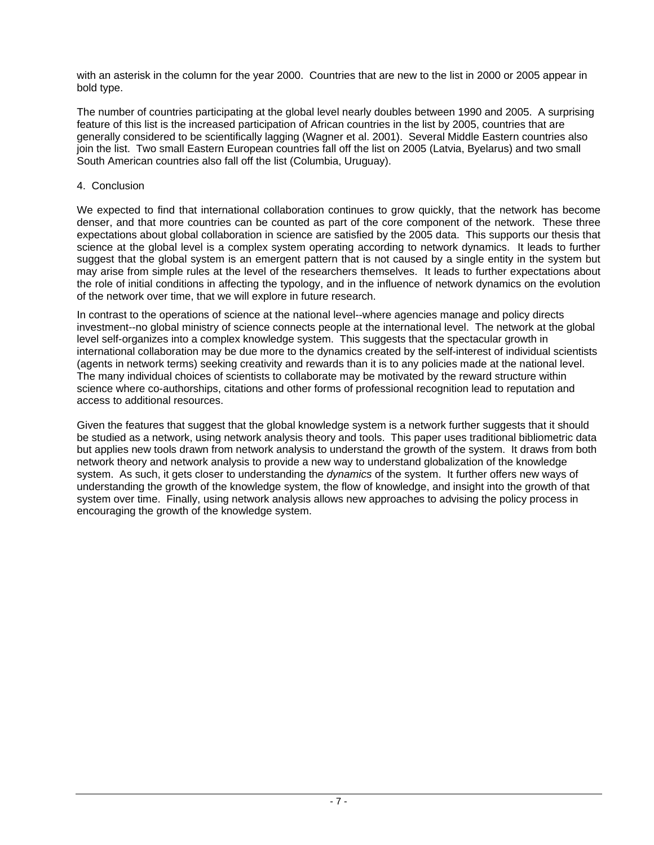with an asterisk in the column for the year 2000. Countries that are new to the list in 2000 or 2005 appear in bold type.

The number of countries participating at the global level nearly doubles between 1990 and 2005. A surprising feature of this list is the increased participation of African countries in the list by 2005, countries that are generally considered to be scientifically lagging (Wagner et al. 2001). Several Middle Eastern countries also join the list. Two small Eastern European countries fall off the list on 2005 (Latvia, Byelarus) and two small South American countries also fall off the list (Columbia, Uruguay).

## 4. Conclusion

We expected to find that international collaboration continues to grow quickly, that the network has become denser, and that more countries can be counted as part of the core component of the network. These three expectations about global collaboration in science are satisfied by the 2005 data. This supports our thesis that science at the global level is a complex system operating according to network dynamics. It leads to further suggest that the global system is an emergent pattern that is not caused by a single entity in the system but may arise from simple rules at the level of the researchers themselves. It leads to further expectations about the role of initial conditions in affecting the typology, and in the influence of network dynamics on the evolution of the network over time, that we will explore in future research.

In contrast to the operations of science at the national level--where agencies manage and policy directs investment--no global ministry of science connects people at the international level. The network at the global level self-organizes into a complex knowledge system. This suggests that the spectacular growth in international collaboration may be due more to the dynamics created by the self-interest of individual scientists (agents in network terms) seeking creativity and rewards than it is to any policies made at the national level. The many individual choices of scientists to collaborate may be motivated by the reward structure within science where co-authorships, citations and other forms of professional recognition lead to reputation and access to additional resources.

Given the features that suggest that the global knowledge system is a network further suggests that it should be studied as a network, using network analysis theory and tools. This paper uses traditional bibliometric data but applies new tools drawn from network analysis to understand the growth of the system. It draws from both network theory and network analysis to provide a new way to understand globalization of the knowledge system. As such, it gets closer to understanding the *dynamics* of the system. It further offers new ways of understanding the growth of the knowledge system, the flow of knowledge, and insight into the growth of that system over time. Finally, using network analysis allows new approaches to advising the policy process in encouraging the growth of the knowledge system.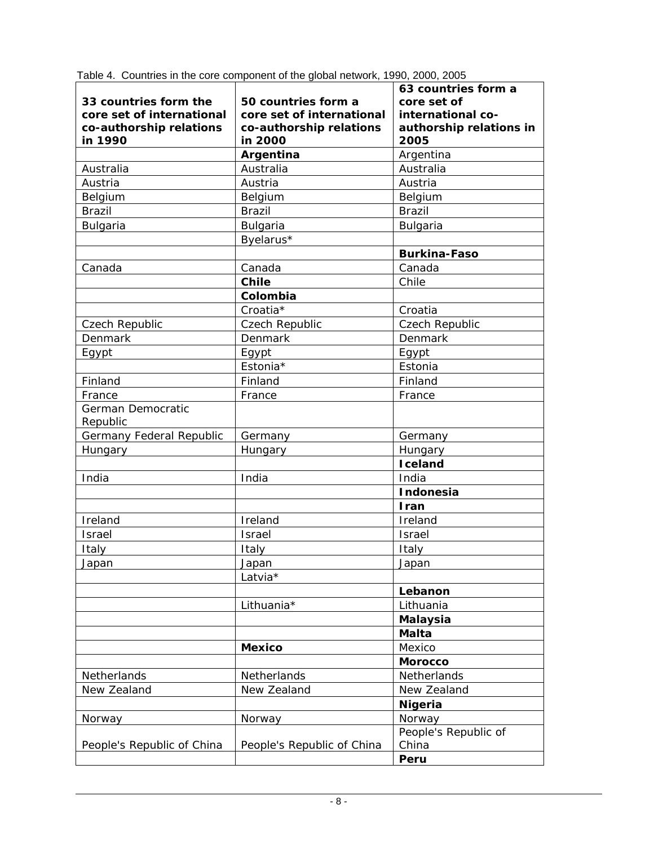| 33 countries form the<br>core set of international<br>co-authorship relations<br>in 1990 | 50 countries form a<br>core set of international<br>co-authorship relations<br>in 2000 | 63 countries form a<br>core set of<br>international co-<br>authorship relations in<br>2005 |
|------------------------------------------------------------------------------------------|----------------------------------------------------------------------------------------|--------------------------------------------------------------------------------------------|
|                                                                                          | Argentina                                                                              | Argentina                                                                                  |
| Australia                                                                                | Australia                                                                              | Australia                                                                                  |
| Austria                                                                                  | Austria                                                                                | Austria                                                                                    |
| Belgium                                                                                  | Belgium                                                                                | Belgium                                                                                    |
| <b>Brazil</b>                                                                            | <b>Brazil</b>                                                                          | <b>Brazil</b>                                                                              |
| Bulgaria                                                                                 | <b>Bulgaria</b>                                                                        | Bulgaria                                                                                   |
|                                                                                          | Byelarus*                                                                              |                                                                                            |
|                                                                                          |                                                                                        | <b>Burkina-Faso</b>                                                                        |
| Canada                                                                                   | Canada                                                                                 | Canada                                                                                     |
|                                                                                          | <b>Chile</b>                                                                           | Chile                                                                                      |
|                                                                                          | Colombia                                                                               |                                                                                            |
|                                                                                          | Croatia*                                                                               | Croatia                                                                                    |
| Czech Republic                                                                           | Czech Republic                                                                         | Czech Republic                                                                             |
| Denmark                                                                                  | Denmark                                                                                | Denmark                                                                                    |
| Egypt                                                                                    | Egypt                                                                                  | Egypt                                                                                      |
|                                                                                          | Estonia*                                                                               | Estonia                                                                                    |
| Finland                                                                                  | Finland                                                                                | Finland                                                                                    |
| France                                                                                   | France                                                                                 | France                                                                                     |
| German Democratic<br>Republic                                                            |                                                                                        |                                                                                            |
| Germany Federal Republic                                                                 | Germany                                                                                | Germany                                                                                    |
| Hungary                                                                                  | Hungary                                                                                | Hungary                                                                                    |
|                                                                                          |                                                                                        | <b>I</b> celand                                                                            |
| India                                                                                    | India                                                                                  | India                                                                                      |
|                                                                                          |                                                                                        | Indonesia                                                                                  |
|                                                                                          |                                                                                        | Iran                                                                                       |
| Ireland                                                                                  | Ireland                                                                                | Ireland                                                                                    |
| <b>Israel</b>                                                                            | Israel                                                                                 | <b>Israel</b>                                                                              |
| Italy                                                                                    | Italy                                                                                  | Italy                                                                                      |
| Japan                                                                                    | Japan                                                                                  | Japan                                                                                      |
|                                                                                          | Latvia*                                                                                |                                                                                            |
|                                                                                          |                                                                                        | Lebanon                                                                                    |
|                                                                                          | Lithuania*                                                                             | Lithuania                                                                                  |
|                                                                                          |                                                                                        | <b>Malaysia</b>                                                                            |
|                                                                                          |                                                                                        | <b>Malta</b>                                                                               |
|                                                                                          | <b>Mexico</b>                                                                          | Mexico                                                                                     |
|                                                                                          |                                                                                        | <b>Morocco</b>                                                                             |
| Netherlands                                                                              | Netherlands                                                                            | Netherlands                                                                                |
| New Zealand                                                                              | New Zealand                                                                            | New Zealand                                                                                |
|                                                                                          |                                                                                        | <b>Nigeria</b>                                                                             |
| Norway                                                                                   | Norway                                                                                 | Norway                                                                                     |
| People's Republic of China                                                               | People's Republic of China                                                             | People's Republic of<br>China                                                              |
|                                                                                          |                                                                                        | Peru                                                                                       |

Table 4. Countries in the core component of the global network, 1990, 2000, 2005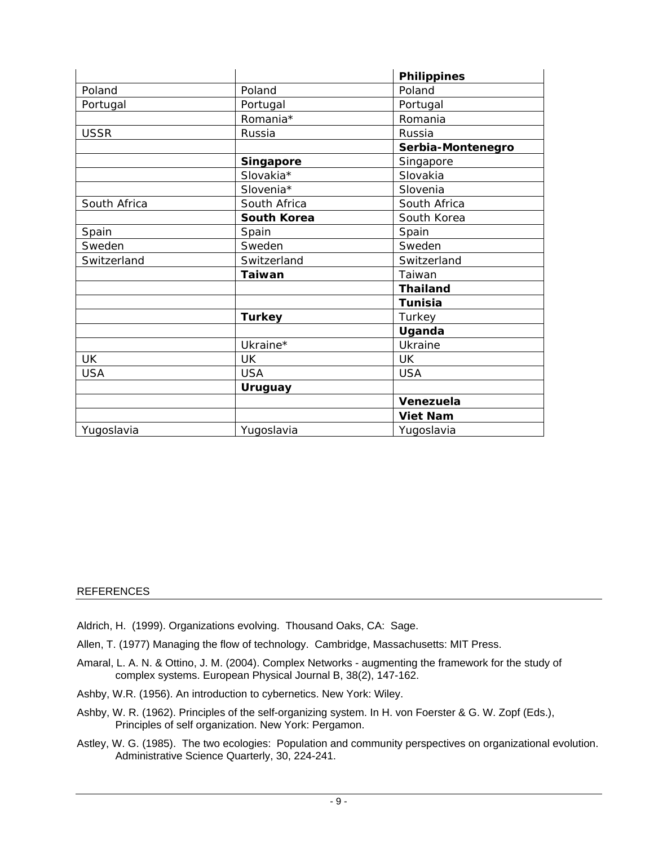|              |                    | <b>Philippines</b> |  |
|--------------|--------------------|--------------------|--|
| Poland       | Poland             | Poland             |  |
| Portugal     | Portugal           | Portugal           |  |
|              | Romania*           | Romania            |  |
| <b>USSR</b>  | Russia             | Russia             |  |
|              |                    | Serbia-Montenegro  |  |
|              | <b>Singapore</b>   | Singapore          |  |
|              | Slovakia*          | Slovakia           |  |
|              | Slovenia*          | Slovenia           |  |
| South Africa | South Africa       | South Africa       |  |
|              | <b>South Korea</b> | South Korea        |  |
| Spain        | Spain              | Spain              |  |
| Sweden       | Sweden             | Sweden             |  |
| Switzerland  | Switzerland        | Switzerland        |  |
|              | <b>Taiwan</b>      | Taiwan             |  |
|              |                    | <b>Thailand</b>    |  |
|              |                    | <b>Tunisia</b>     |  |
|              | <b>Turkey</b>      | Turkey             |  |
|              |                    | Uganda             |  |
|              | Ukraine*           | Ukraine            |  |
| <b>UK</b>    | UK                 | <b>UK</b>          |  |
| <b>USA</b>   | <b>USA</b>         | <b>USA</b>         |  |
|              | <b>Uruguay</b>     |                    |  |
|              |                    | Venezuela          |  |
|              |                    | <b>Viet Nam</b>    |  |
| Yugoslavia   | Yugoslavia         | Yugoslavia         |  |

## REFERENCES

- Aldrich, H. (1999). Organizations evolving. Thousand Oaks, CA: Sage.
- Allen, T. (1977) Managing the flow of technology. Cambridge, Massachusetts: MIT Press.
- Amaral, L. A. N. & Ottino, J. M. (2004). Complex Networks augmenting the framework for the study of complex systems. European Physical Journal B, 38(2), 147-162.
- Ashby, W.R. (1956). An introduction to cybernetics. New York: Wiley.
- Ashby, W. R. (1962). Principles of the self-organizing system. In H. von Foerster & G. W. Zopf (Eds.), Principles of self organization. New York: Pergamon.
- Astley, W. G. (1985). The two ecologies: Population and community perspectives on organizational evolution. Administrative Science Quarterly, 30, 224-241.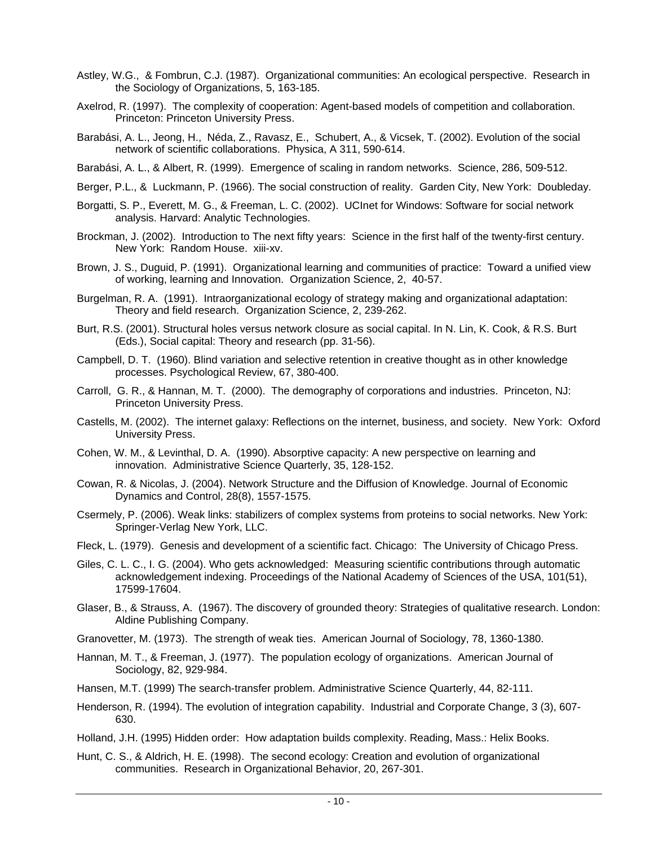- Astley, W.G., & Fombrun, C.J. (1987). Organizational communities: An ecological perspective. Research in the Sociology of Organizations, 5, 163-185.
- Axelrod, R. (1997). The complexity of cooperation: Agent-based models of competition and collaboration. Princeton: Princeton University Press.
- Barabási, A. L., Jeong, H., Néda, Z., Ravasz, E., Schubert, A., & Vicsek, T. (2002). Evolution of the social network of scientific collaborations. Physica, A 311, 590-614.
- Barabási, A. L., & Albert, R. (1999). Emergence of scaling in random networks. Science, 286, 509-512.
- Berger, P.L., & Luckmann, P. (1966). The social construction of reality. Garden City, New York: Doubleday.
- Borgatti, S. P., Everett, M. G., & Freeman, L. C. (2002). UCInet for Windows: Software for social network analysis. Harvard: Analytic Technologies.
- Brockman, J. (2002). Introduction to The next fifty years: Science in the first half of the twenty-first century. New York: Random House. xiii-xv.
- Brown, J. S., Duguid, P. (1991). Organizational learning and communities of practice: Toward a unified view of working, learning and Innovation. Organization Science, 2, 40-57.
- Burgelman, R. A. (1991). Intraorganizational ecology of strategy making and organizational adaptation: Theory and field research. Organization Science, 2, 239-262.
- Burt, R.S. (2001). Structural holes versus network closure as social capital. In N. Lin, K. Cook, & R.S. Burt (Eds.), Social capital: Theory and research (pp. 31-56).
- Campbell, D. T. (1960). Blind variation and selective retention in creative thought as in other knowledge processes. Psychological Review, 67, 380-400.
- Carroll, G. R., & Hannan, M. T. (2000). The demography of corporations and industries. Princeton, NJ: Princeton University Press.
- Castells, M. (2002). The internet galaxy: Reflections on the internet, business, and society. New York: Oxford University Press.
- Cohen, W. M., & Levinthal, D. A. (1990). Absorptive capacity: A new perspective on learning and innovation. Administrative Science Quarterly, 35, 128-152.
- Cowan, R. & Nicolas, J. (2004). Network Structure and the Diffusion of Knowledge. Journal of Economic Dynamics and Control, 28(8), 1557-1575.
- Csermely, P. (2006). Weak links: stabilizers of complex systems from proteins to social networks. New York: Springer-Verlag New York, LLC.
- Fleck, L. (1979). Genesis and development of a scientific fact. Chicago: The University of Chicago Press.
- Giles, C. L. C., I. G. (2004). Who gets acknowledged: Measuring scientific contributions through automatic acknowledgement indexing. Proceedings of the National Academy of Sciences of the USA, 101(51), 17599-17604.
- Glaser, B., & Strauss, A. (1967). The discovery of grounded theory: Strategies of qualitative research. London: Aldine Publishing Company.
- Granovetter, M. (1973). The strength of weak ties. American Journal of Sociology, 78, 1360-1380.
- Hannan, M. T., & Freeman, J. (1977). The population ecology of organizations. American Journal of Sociology, 82, 929-984.
- Hansen, M.T. (1999) The search-transfer problem. Administrative Science Quarterly, 44, 82-111.
- Henderson, R. (1994). The evolution of integration capability. Industrial and Corporate Change, 3 (3), 607- 630.
- Holland, J.H. (1995) Hidden order: How adaptation builds complexity. Reading, Mass.: Helix Books.
- Hunt, C. S., & Aldrich, H. E. (1998). The second ecology: Creation and evolution of organizational communities. Research in Organizational Behavior, 20, 267-301.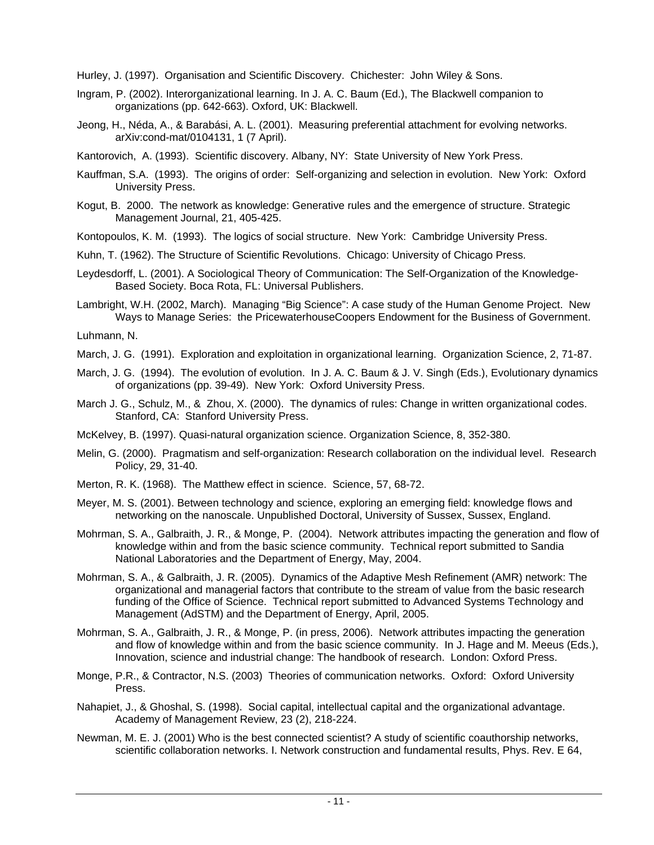Hurley, J. (1997). Organisation and Scientific Discovery. Chichester: John Wiley & Sons.

- Ingram, P. (2002). Interorganizational learning. In J. A. C. Baum (Ed.), The Blackwell companion to organizations (pp. 642-663). Oxford, UK: Blackwell.
- Jeong, H., Néda, A., & Barabási, A. L. (2001). Measuring preferential attachment for evolving networks. arXiv:cond-mat/0104131, 1 (7 April).

Kantorovich, A. (1993). Scientific discovery. Albany, NY: State University of New York Press.

- Kauffman, S.A. (1993). The origins of order: Self-organizing and selection in evolution. New York: Oxford University Press.
- Kogut, B. 2000. The network as knowledge: Generative rules and the emergence of structure. Strategic Management Journal, 21, 405-425.
- Kontopoulos, K. M. (1993). The logics of social structure. New York: Cambridge University Press.
- Kuhn, T. (1962). The Structure of Scientific Revolutions. Chicago: University of Chicago Press.
- Leydesdorff, L. (2001). A Sociological Theory of Communication: The Self-Organization of the Knowledge-Based Society. Boca Rota, FL: Universal Publishers.

Lambright, W.H. (2002, March). Managing "Big Science": A case study of the Human Genome Project. New Ways to Manage Series: the PricewaterhouseCoopers Endowment for the Business of Government.

Luhmann, N.

- March, J. G. (1991). Exploration and exploitation in organizational learning. Organization Science, 2, 71-87.
- March, J. G. (1994). The evolution of evolution. In J. A. C. Baum & J. V. Singh (Eds.), Evolutionary dynamics of organizations (pp. 39-49). New York: Oxford University Press.
- March J. G., Schulz, M., & Zhou, X. (2000). The dynamics of rules: Change in written organizational codes. Stanford, CA: Stanford University Press.
- McKelvey, B. (1997). Quasi-natural organization science. Organization Science, 8, 352-380.
- Melin, G. (2000). Pragmatism and self-organization: Research collaboration on the individual level. Research Policy, 29, 31-40.
- Merton, R. K. (1968). The Matthew effect in science. Science, 57, 68-72.
- Meyer, M. S. (2001). Between technology and science, exploring an emerging field: knowledge flows and networking on the nanoscale. Unpublished Doctoral, University of Sussex, Sussex, England.
- Mohrman, S. A., Galbraith, J. R., & Monge, P. (2004). Network attributes impacting the generation and flow of knowledge within and from the basic science community. Technical report submitted to Sandia National Laboratories and the Department of Energy, May, 2004.
- Mohrman, S. A., & Galbraith, J. R. (2005). Dynamics of the Adaptive Mesh Refinement (AMR) network: The organizational and managerial factors that contribute to the stream of value from the basic research funding of the Office of Science. Technical report submitted to Advanced Systems Technology and Management (AdSTM) and the Department of Energy, April, 2005.
- Mohrman, S. A., Galbraith, J. R., & Monge, P. (in press, 2006). Network attributes impacting the generation and flow of knowledge within and from the basic science community. In J. Hage and M. Meeus (Eds.), Innovation, science and industrial change: The handbook of research. London: Oxford Press.
- Monge, P.R., & Contractor, N.S. (2003) Theories of communication networks. Oxford: Oxford University Press.
- Nahapiet, J., & Ghoshal, S. (1998). Social capital, intellectual capital and the organizational advantage. Academy of Management Review, 23 (2), 218-224.
- Newman, M. E. J. (2001) Who is the best connected scientist? A study of scientific coauthorship networks, scientific collaboration networks. I. Network construction and fundamental results, Phys. Rev. E 64,